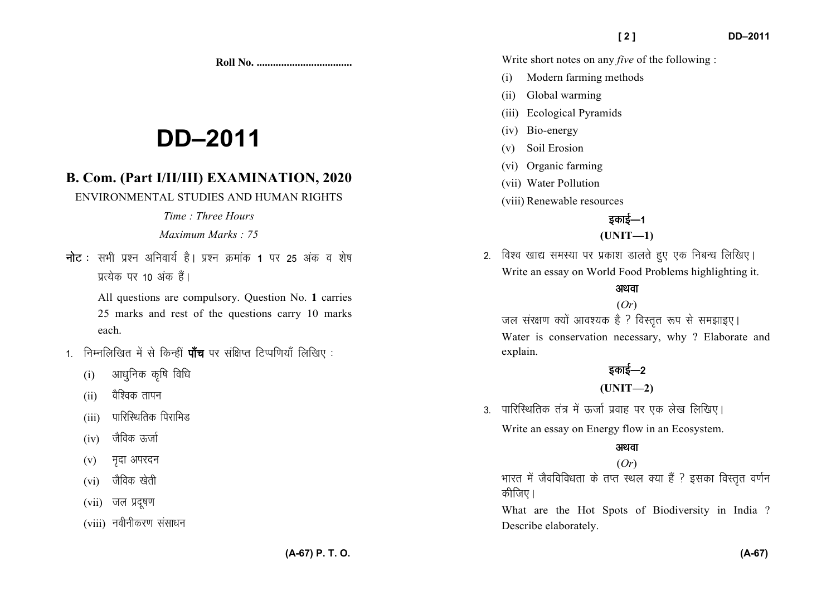**Roll No. ...................................** 

# **DD–2011**

# **B. Com. (Part I/II/III) EXAMINATION, 2020**

ENVIRONMENTAL STUDIES AND HUMAN RIGHTS

#### *Time : Three Hours*

#### *Maximum Marks : 75*

**नोट** : सभी प्रश्न अनिवार्य है । प्रश्न क्रमांक **1** पर 25 अंक व शेष *izR;sd ij 10 vad gSaA* 

> All questions are compulsory. Question No. **1** carries 25 marks and rest of the questions carry 10 marks each.

- 1. निम्नलिखित में से किन्हीं **पॉच** पर संक्षिप्त टिप्पणियाँ लिखिए :
	- (i) *vk/kqfud d`f"k fof/k*
	- (ii) वैश्विक तापन
	- (iii) *ikfjfLFkfrd fijkfeM*
	- (iv) जैविक ऊर्जा
	- (v) मृदा अपरदन
	- (vi) जैविक खेती
	- (vii) जल प्रदूषण
	- (viii) *uohuhdj.k lalk/ku*

Write short notes on any *five* of the following :

- (i) Modern farming methods
- (ii) Global warming
- (iii) Ecological Pyramids
- (iv) Bio-energy
- (v) Soil Erosion
- (vi) Organic farming
- (vii) Water Pollution
- (viii) Renewable resources

## *bdkbZ*&*<sup>1</sup>*

## **(UNIT—1)**

*2- fo'o [kk| leL;k ij izdk'k Mkyrs gq, ,d fucU/k fyf[k,A* Write an essay on World Food Problems highlighting it.

## अथवा

(*Or*) *जल संरक्षण क्यों आवश्यक है ? विस्तुत रूप से समझाइए।* Water is conservation necessary, why ? Elaborate and explain.

## इकाई—2

## **(UNIT—2)**

3. पारिस्थितिक तंत्र में ऊर्जा प्रवाह पर एक लेख लिखिए।

Write an essay on Energy flow in an Ecosystem.

## अथवा

## (*Or*)

*Hkkjr esa tSofofo/krk ds rIr LFky D;k gSa \ bldk foLr`r o.kZu कीजिए* ।

What are the Hot Spots of Biodiversity in India ? Describe elaborately.